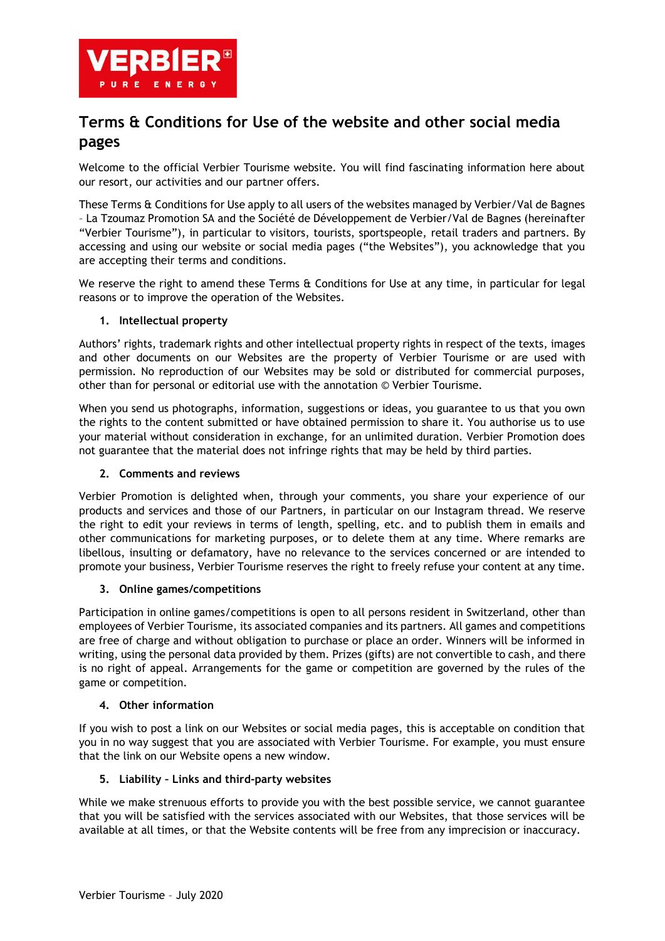

# **Terms & Conditions for Use of the website and other social media pages**

Welcome to the official Verbier Tourisme website. You will find fascinating information here about our resort, our activities and our partner offers.

These Terms & Conditions for Use apply to all users of the websites managed by Verbier/Val de Bagnes – La Tzoumaz Promotion SA and the Société de Développement de Verbier/Val de Bagnes (hereinafter "Verbier Tourisme"), in particular to visitors, tourists, sportspeople, retail traders and partners. By accessing and using our website or social media pages ("the Websites"), you acknowledge that you are accepting their terms and conditions.

We reserve the right to amend these Terms & Conditions for Use at any time, in particular for legal reasons or to improve the operation of the Websites.

### **1. Intellectual property**

Authors' rights, trademark rights and other intellectual property rights in respect of the texts, images and other documents on our Websites are the property of Verbier Tourisme or are used with permission. No reproduction of our Websites may be sold or distributed for commercial purposes, other than for personal or editorial use with the annotation © Verbier Tourisme.

When you send us photographs, information, suggestions or ideas, you guarantee to us that you own the rights to the content submitted or have obtained permission to share it. You authorise us to use your material without consideration in exchange, for an unlimited duration. Verbier Promotion does not guarantee that the material does not infringe rights that may be held by third parties.

### **2. Comments and reviews**

Verbier Promotion is delighted when, through your comments, you share your experience of our products and services and those of our Partners, in particular on our Instagram thread. We reserve the right to edit your reviews in terms of length, spelling, etc. and to publish them in emails and other communications for marketing purposes, or to delete them at any time. Where remarks are libellous, insulting or defamatory, have no relevance to the services concerned or are intended to promote your business, Verbier Tourisme reserves the right to freely refuse your content at any time.

### **3. Online games/competitions**

Participation in online games/competitions is open to all persons resident in Switzerland, other than employees of Verbier Tourisme, its associated companies and its partners. All games and competitions are free of charge and without obligation to purchase or place an order. Winners will be informed in writing, using the personal data provided by them. Prizes (gifts) are not convertible to cash, and there is no right of appeal. Arrangements for the game or competition are governed by the rules of the game or competition.

### **4. Other information**

If you wish to post a link on our Websites or social media pages, this is acceptable on condition that you in no way suggest that you are associated with Verbier Tourisme. For example, you must ensure that the link on our Website opens a new window.

### **5. Liability – Links and third-party websites**

While we make strenuous efforts to provide you with the best possible service, we cannot guarantee that you will be satisfied with the services associated with our Websites, that those services will be available at all times, or that the Website contents will be free from any imprecision or inaccuracy.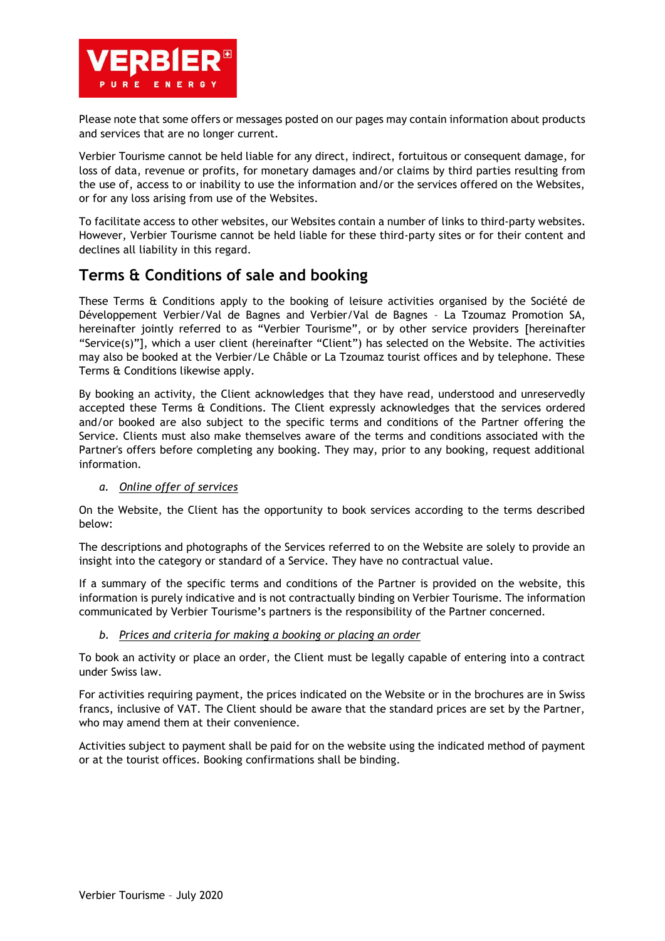

Please note that some offers or messages posted on our pages may contain information about products and services that are no longer current.

Verbier Tourisme cannot be held liable for any direct, indirect, fortuitous or consequent damage, for loss of data, revenue or profits, for monetary damages and/or claims by third parties resulting from the use of, access to or inability to use the information and/or the services offered on the Websites, or for any loss arising from use of the Websites.

To facilitate access to other websites, our Websites contain a number of links to third-party websites. However, Verbier Tourisme cannot be held liable for these third-party sites or for their content and declines all liability in this regard.

# **Terms & Conditions of sale and booking**

These Terms & Conditions apply to the booking of leisure activities organised by the Société de Développement Verbier/Val de Bagnes and Verbier/Val de Bagnes – La Tzoumaz Promotion SA, hereinafter jointly referred to as "Verbier Tourisme", or by other service providers [hereinafter "Service(s)"], which a user client (hereinafter "Client") has selected on the Website. The activities may also be booked at the Verbier/Le Châble or La Tzoumaz tourist offices and by telephone. These Terms & Conditions likewise apply.

By booking an activity, the Client acknowledges that they have read, understood and unreservedly accepted these Terms & Conditions. The Client expressly acknowledges that the services ordered and/or booked are also subject to the specific terms and conditions of the Partner offering the Service. Clients must also make themselves aware of the terms and conditions associated with the Partner's offers before completing any booking. They may, prior to any booking, request additional information.

### *a. Online offer of services*

On the Website, the Client has the opportunity to book services according to the terms described below:

The descriptions and photographs of the Services referred to on the Website are solely to provide an insight into the category or standard of a Service. They have no contractual value.

If a summary of the specific terms and conditions of the Partner is provided on the website, this information is purely indicative and is not contractually binding on Verbier Tourisme. The information communicated by Verbier Tourisme's partners is the responsibility of the Partner concerned.

### *b. Prices and criteria for making a booking or placing an order*

To book an activity or place an order, the Client must be legally capable of entering into a contract under Swiss law.

For activities requiring payment, the prices indicated on the Website or in the brochures are in Swiss francs, inclusive of VAT. The Client should be aware that the standard prices are set by the Partner, who may amend them at their convenience.

Activities subject to payment shall be paid for on the website using the indicated method of payment or at the tourist offices. Booking confirmations shall be binding.